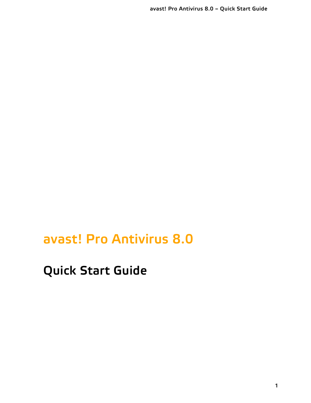**avast! Pro Antivirus 8.0**

**Quick Start Guide**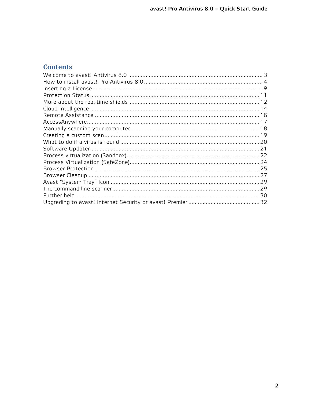#### **Contents**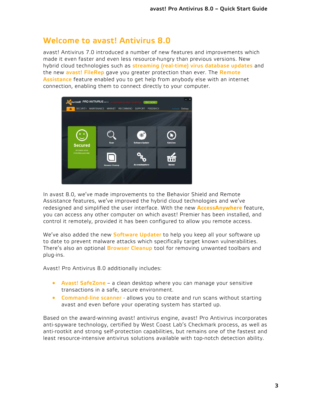#### <span id="page-2-0"></span>**Welcome to avast! Antivirus 8.0**

avast! Antivirus 7.0 introduced a number of new features and improvements which made it even faster and even less resource-hungry than previous versions. New hybrid cloud technologies such as **streaming (real-time) virus database updates** and the new **avast! FileRep** gave you greater protection than ever. The **Remote Assistance** feature enabled you to get help from anybody else with an internet connection, enabling them to connect directly to your computer.



In avast 8.0, we've made improvements to the Behavior Shield and Remote Assistance features, we've improved the hybrid cloud technologies and we've redesigned and simplified the user interface. With the new **AccessAnywhere** feature, you can access any other computer on which avast! Premier has been installed, and control it remotely, provided it has been configured to allow you remote access.

We've also added the new **Software Updater** to help you keep all your software up to date to prevent malware attacks which specifically target known vulnerabilities. There's also an optional **Browser Cleanup** tool for removing unwanted toolbars and plug-ins.

Avast! Pro Antivirus 8.0 additionally includes:

- **Avast! SafeZone** a clean desktop where you can manage your sensitive transactions in a safe, secure environment.
- **Command-line scanner** allows you to create and run scans without starting avast and even before your operating system has started up.

Based on the award-winning avast! antivirus engine, avast! Pro Antivirus incorporates anti-spyware technology, certified by West Coast Lab's Checkmark process, as well as anti-rootkit and strong self-protection capabilities, but remains one of the fastest and least resource-intensive antivirus solutions available with top-notch detection ability.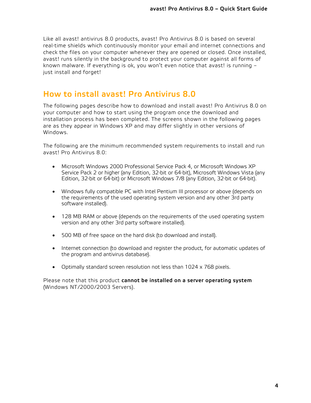Like all avast! antivirus 8.0 products, avast! Pro Antivirus 8.0 is based on several real-time shields which continuously monitor your email and internet connections and check the files on your computer whenever they are opened or closed. Once installed, avast! runs silently in the background to protect your computer against all forms of known malware. If everything is ok, you won't even notice that avast! is running – just install and forget!

#### <span id="page-3-0"></span>**How to install avast! Pro Antivirus 8.0**

The following pages describe how to download and install avast! Pro Antivirus 8.0 on your computer and how to start using the program once the download and installation process has been completed. The screens shown in the following pages are as they appear in Windows XP and may differ slightly in other versions of Windows.

The following are the minimum recommended system requirements to install and run avast! Pro Antivirus 8.0:

- Microsoft Windows 2000 Professional Service Pack 4, or Microsoft Windows XP Service Pack 2 or higher (any Edition, 32-bit or 64-bit), Microsoft Windows Vista (any Edition, 32-bit or 64-bit) or Microsoft Windows 7/8 (any Edition, 32-bit or 64-bit).
- Windows fully compatible PC with Intel Pentium III processor or above (depends on the requirements of the used operating system version and any other 3rd party software installed).
- 128 MB RAM or above (depends on the requirements of the used operating system version and any other 3rd party software installed).
- 500 MB of free space on the hard disk (to download and install).
- Internet connection (to download and register the product, for automatic updates of the program and antivirus database).
- Optimally standard screen resolution not less than 1024 x 768 pixels.

Please note that this product **cannot be installed on a server operating system** (Windows NT/2000/2003 Servers).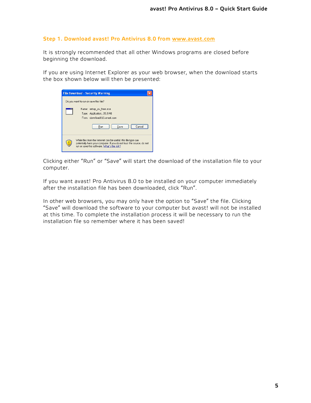#### **Step 1. Download avast! Pro Antivirus 8.0 from [www.avast.com](http://www.avast.com/)**

It is strongly recommended that all other Windows programs are closed before beginning the download.

If you are using Internet Explorer as your web browser, when the download starts the box shown below will then be presented:

| <b>File Download - Security Warning</b>                                                                                                                                                  |
|------------------------------------------------------------------------------------------------------------------------------------------------------------------------------------------|
| Do you want to run or save this file?                                                                                                                                                    |
| Name: setup av free.exe<br>Type: Application, 35.5 MB<br>From: download813.avast.com<br>Save<br>Run<br>Cancel                                                                            |
| While files from the Internet can be useful, this file type can<br>potentially harm your computer. If you do not trust the source, do not<br>run or save this software. What's the risk? |

Clicking either "Run" or "Save" will start the download of the installation file to your computer.

If you want avast! Pro Antivirus 8.0 to be installed on your computer immediately after the installation file has been downloaded, click "Run".

In other web browsers, you may only have the option to "Save" the file. Clicking "Save" will download the software to your computer but avast! will not be installed at this time. To complete the installation process it will be necessary to run the installation file so remember where it has been saved!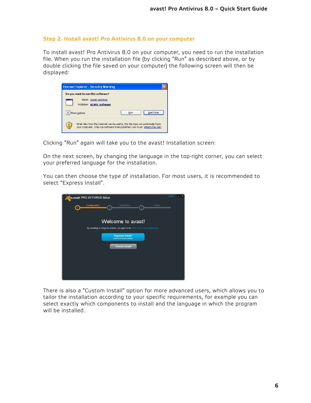#### **Step 2. Install avast! Pro Antivirus 8.0 on your computer**

To install avast! Pro Antivirus 8.0 on your computer, you need to run the installation file. When you run the installation file (by clicking "Run" as described above, or by double clicking the file saved on your computer) the following screen will then be displayed:

| <b>Internet Explorer - Security Warning</b>                                                                                                                      |
|------------------------------------------------------------------------------------------------------------------------------------------------------------------|
| Do you want to run this software?                                                                                                                                |
| Name: avast! antivirus<br>Publisher: ALWIL Software                                                                                                              |
| Don't Run<br>Run<br>More options                                                                                                                                 |
| While files from the Internet can be useful, this file type can potentially harm<br>your computer. Only run software from publishers you trust. What's the risk? |

Clicking "Run" again will take you to the avast! Installation screen:

On the next screen, by changing the language in the top-right corner, you can select your preferred language for the installation.

You can then choose the type of installation. For most users, it is recommended to select "Express Install".



There is also a "Custom Install" option for more advanced users, which allows you to tailor the installation according to your specific requirements, for example you can select exactly which components to install and the language in which the program will be installed.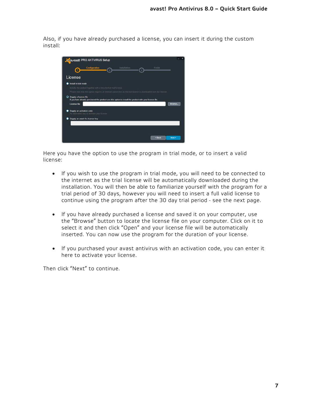Also, if you have already purchased a license, you can insert it during the custom install:



Here you have the option to use the program in trial mode, or to insert a valid license:

- If you wish to use the program in trial mode, you will need to be connected to the internet as the trial license will be automatically downloaded during the installation. You will then be able to familiarize yourself with the program for a trial period of 30 days, however you will need to insert a full valid license to continue using the program after the 30 day trial period - see the next page.
- If you have already purchased a license and saved it on your computer, use the "Browse" button to locate the license file on your computer. Click on it to select it and then click "Open" and your license file will be automatically inserted. You can now use the program for the duration of your license.
- If you purchased your avast antivirus with an activation code, you can enter it here to activate your license.

Then click "Next" to continue.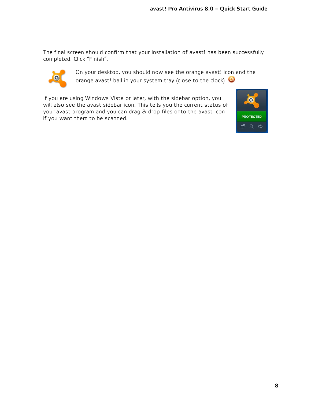The final screen should confirm that your installation of avast! has been successfully completed. Click "Finish".



On your desktop, you should now see the orange avast! icon and the orange avast! ball in your system tray (close to the clock)  $\bullet$ 

If you are using Windows Vista or later, with the sidebar option, you will also see the avast sidebar icon. This tells you the current status of your avast program and you can drag & drop files onto the avast icon if you want them to be scanned.

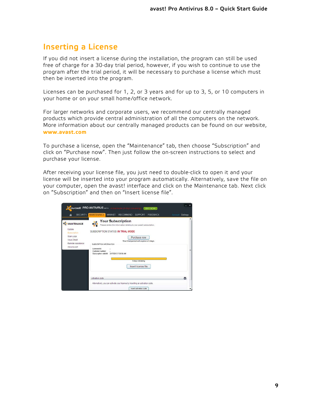#### <span id="page-8-0"></span>**Inserting a License**

If you did not insert a license during the installation, the program can still be used free of charge for a 30-day trial period, however, if you wish to continue to use the program after the trial period, it will be necessary to purchase a license which must then be inserted into the program.

Licenses can be purchased for 1, 2, or 3 years and for up to 3, 5, or 10 computers in your home or on your small home/office network.

For larger networks and corporate users, we recommend our centrally managed products which provide central administration of all the computers on the network. More information about our centrally managed products can be found on our website, **[www.avast.com](http://www.avast.com/)**

To purchase a license, open the "Maintenance" tab, then choose "Subscription" and click on "Purchase now". Then just follow the on-screen instructions to select and purchase your license.

After receiving your license file, you just need to double-click to open it and your license will be inserted into your program automatically. Alternatively, save the file on your computer, open the avast! interface and click on the Maintenance tab. Next click on "Subscription" and then on "Insert license file".

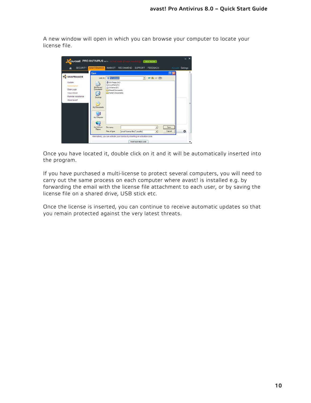A new window will open in which you can browse your computer to locate your license file.



Once you have located it, double click on it and it will be automatically inserted into the program.

If you have purchased a multi-license to protect several computers, you will need to carry out the same process on each computer where avast! is installed e.g. by forwarding the email with the license file attachment to each user, or by saving the license file on a shared drive, USB stick etc.

Once the license is inserted, you can continue to receive automatic updates so that you remain protected against the very latest threats.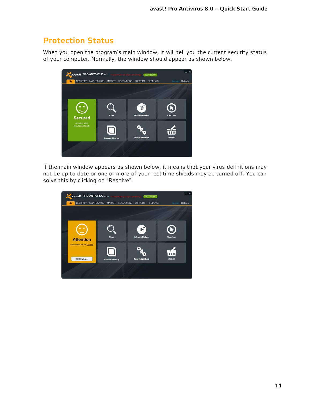### <span id="page-10-0"></span>**Protection Status**

When you open the program's main window, it will tell you the current security status of your computer. Normally, the window should appear as shown below.



If the main window appears as shown below, it means that your virus definitions may not be up to date or one or more of your real-time shields may be turned off. You can solve this by clicking on "Resolve".

| <b>O QUOSt! PRO ANTIVIRUS BETA</b>                  |                        | <b>BUY NOW</b>                        |                            |
|-----------------------------------------------------|------------------------|---------------------------------------|----------------------------|
| SECURITY MAINTENANCE<br>٨                           | MARKET<br>RECOMMEND    | <b>SUPPORT</b><br><b>FEEDBACK</b>     | Account<br><b>Settings</b> |
| <b>Attention</b>                                    | Scan                   | $^{\circ}$<br><b>Software Updater</b> | <b>SafeZone</b>            |
| Some shields are off: Turn on<br><b>RESOLVE ALL</b> | <b>Browser Cleanup</b> | <b>AccessAnywhere</b>                 | Market                     |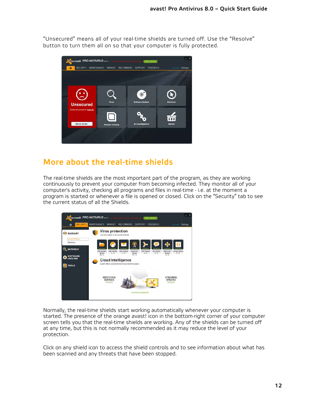"Unsecured" means all of your real-time shields are turned off. Use the "Resolve" button to turn them all on so that your computer is fully protected.



### <span id="page-11-0"></span>**More about the real-time shields**

The real-time shields are the most important part of the program, as they are working continuously to prevent your computer from becoming infected. They monitor all of your computer's activity, checking all programs and files in real-time - i.e. at the moment a program is started or whenever a file is opened or closed. Click on the "Security" tab to see the current status of all the Shields.



Normally, the real-time shields start working automatically whenever your computer is started. The presence of the orange avast! icon in the bottom-right corner of your computer screen tells you that the real-time shields are working. Any of the shields can be turned off at any time, but this is not normally recommended as it may reduce the level of your protection.

Click on any shield icon to access the shield controls and to see information about what has been scanned and any threats that have been stopped.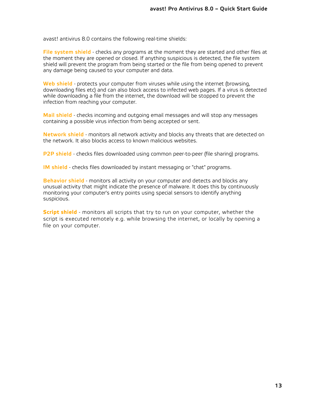avast! antivirus 8.0 contains the following real-time shields:

**File system shield** - checks any programs at the moment they are started and other files at the moment they are opened or closed. If anything suspicious is detected, the file system shield will prevent the program from being started or the file from being opened to prevent any damage being caused to your computer and data.

**Web shield** - protects your computer from viruses while using the internet (browsing, downloading files etc) and can also block access to infected web pages. If a virus is detected while downloading a file from the internet, the download will be stopped to prevent the infection from reaching your computer.

**Mail shield** - checks incoming and outgoing email messages and will stop any messages containing a possible virus infection from being accepted or sent.

**Network shield** - monitors all network activity and blocks any threats that are detected on the network. It also blocks access to known malicious websites.

**P2P shield** - checks files downloaded using common peer-to-peer (file sharing) programs.

**IM shield** - checks files downloaded by instant messaging or "chat" programs.

**Behavior shield** - monitors all activity on your computer and detects and blocks any unusual activity that might indicate the presence of malware. It does this by continuously monitoring your computer's entry points using special sensors to identify anything suspicious.

**Script shield** - monitors all scripts that try to run on your computer, whether the script is executed remotely e.g. while browsing the internet, or locally by opening a file on your computer.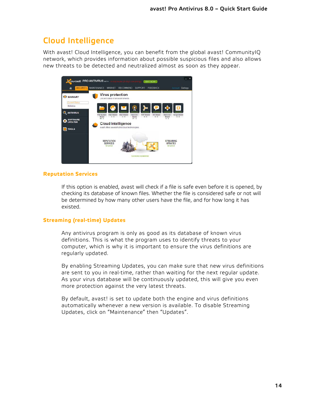# <span id="page-13-0"></span>**Cloud Intelligence**

With avast! Cloud Intelligence, you can benefit from the global avast! CommunityIQ network, which provides information about possible suspicious files and also allows new threats to be detected and neutralized almost as soon as they appear.



#### **Reputation Services**

If this option is enabled, avast will check if a file is safe even before it is opened, by checking its database of known files. Whether the file is considered safe or not will be determined by how many other users have the file, and for how long it has existed.

#### **Streaming (real-time) Updates**

Any antivirus program is only as good as its database of known virus definitions. This is what the program uses to identify threats to your computer, which is why it is important to ensure the virus definitions are regularly updated.

By enabling Streaming Updates, you can make sure that new virus definitions are sent to you in real-time, rather than waiting for the next regular update. As your virus database will be continuously updated, this will give you even more protection against the very latest threats.

By default, avast! is set to update both the engine and virus definitions automatically whenever a new version is available. To disable Streaming Updates, click on "Maintenance" then "Updates".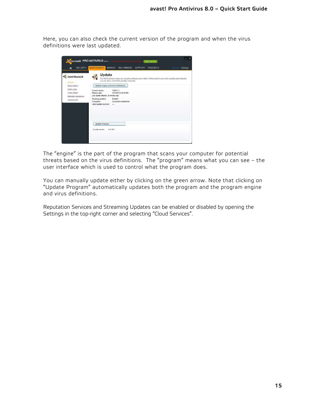Here, you can also check the current version of the program and when the virus definitions were last updated.

| <b>SECURITY</b><br>必                                                          | <b>MAINTENANCE</b><br>MARKET<br><b>RECOMMEND</b><br>SUPPORT<br><b>FEEDBACK</b><br>Account<br><b>Settings</b>                                                                                                        |
|-------------------------------------------------------------------------------|---------------------------------------------------------------------------------------------------------------------------------------------------------------------------------------------------------------------|
| MAINTENANCE<br>Update                                                         | Update<br>It is vital to always keep your security software up-to-date. While avast! is pre-set to update automatically,<br>you can also control the updates manually.<br>Update engine and virus definitions       |
| Subscription<br>Scan Logs<br>Virus Chest<br>Remote Assistance<br>About avast! | Current version:<br>130211-1<br>Release date:<br>2/11/2013 2:53:49 PM<br>Last update attempt: 26 minutes ago<br>Streaming updates:<br>Enabled<br>Connection established<br>Connection:<br>Latest update received -- |
|                                                                               | <b>Update Program</b><br>Current version:<br>88.1477                                                                                                                                                                |

The "engine" is the part of the program that scans your computer for potential threats based on the virus definitions. The "program" means what you can see – the user interface which is used to control what the program does.

You can manually update either by clicking on the green arrow. Note that clicking on "Update Program" automatically updates both the program and the program engine and virus definitions.

Reputation Services and Streaming Updates can be enabled or disabled by opening the Settings in the top-right corner and selecting "Cloud Services".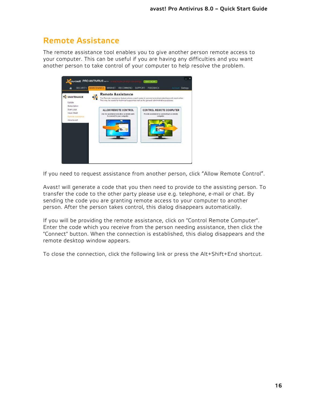# <span id="page-15-0"></span>**Remote Assistance**

The remote assistance tool enables you to give another person remote access to your computer. This can be useful if you are having any difficulties and you want another person to take control of your computer to help resolve the problem.



If you need to request assistance from another person, click "Allow Remote Control".

Avast! will generate a code that you then need to provide to the assisting person. To transfer the code to the other party please use e.g. telephone, e-mail or chat. By sending the code you are granting remote access to your computer to another person. After the person takes control, this dialog disappears automatically.

If you will be providing the remote assistance, click on "Control Remote Computer". Enter the code which you receive from the person needing assistance, then click the "Connect" button. When the connection is established, this dialog disappears and the remote desktop window appears.

To close the connection, click the following link or press the Alt+Shift+End shortcut.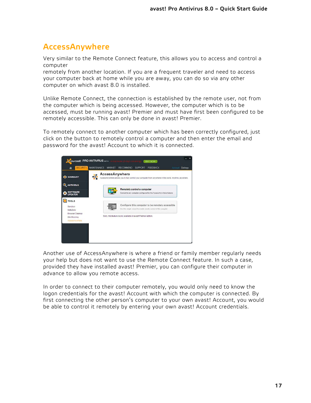# <span id="page-16-0"></span>**AccessAnywhere**

Very similar to the Remote Connect feature, this allows you to access and control a computer

remotely from another location. If you are a frequent traveler and need to access your computer back at home while you are away, you can do so via any other computer on which avast 8.0 is installed.

Unlike Remote Connect, the connection is established by the remote user, not from the computer which is being accessed. However, the computer which is to be accessed, must be running avast! Premier and must have first been configured to be remotely accessible. This can only be done in avast! Premier.

To remotely connect to another computer which has been correctly configured, just click on the button to remotely control a computer and then enter the email and password for the avast! Account to which it is connected.



Another use of AccessAnywhere is where a friend or family member regularly needs your help but does not want to use the Remote Connect feature. In such a case, provided they have installed avast! Premier, you can configure their computer in advance to allow you remote access.

In order to connect to their computer remotely, you would only need to know the logon credentials for the avast! Account with which the computer is connected. By first connecting the other person's computer to your own avast! Account, you would be able to control it remotely by entering your own avast! Account credentials.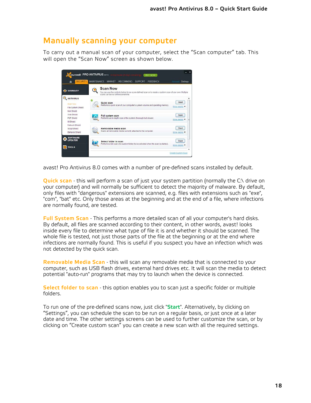#### <span id="page-17-0"></span>**Manually scanning your computer**

To carry out a manual scan of your computer, select the "Scan computer" tab. This will open the "Scan Now" screen as shown below.



avast! Pro Antivirus 8.0 comes with a number of pre-defined scans installed by default.

**Quick scan** - this will perform a scan of just your system partition (normally the C:\ drive on your computer) and will normally be sufficient to detect the majority of malware. By default, only files with "dangerous" extensions are scanned, e.g. files with extensions such as "exe", "com", "bat" etc. Only those areas at the beginning and at the end of a file, where infections are normally found, are tested.

**Full System Scan** - This performs a more detailed scan of all your computer's hard disks. By default, all files are scanned according to their content, in other words, avast! looks inside every file to determine what type of file it is and whether it should be scanned. The whole file is tested, not just those parts of the file at the beginning or at the end where infections are normally found. This is useful if you suspect you have an infection which was not detected by the quick scan.

**Removable Media Scan** - this will scan any removable media that is connected to your computer, such as USB flash drives, external hard drives etc. It will scan the media to detect potential "auto-run" programs that may try to launch when the device is connected.

**Select folder to scan** - this option enables you to scan just a specific folder or multiple folders.

To run one of the pre-defined scans now, just click "**Start**". Alternatively, by clicking on "Settings", you can schedule the scan to be run on a regular basis, or just once at a later date and time. The other settings screens can be used to further customize the scan, or by clicking on "Create custom scan" you can create a new scan with all the required settings.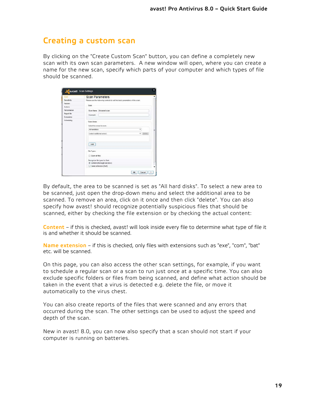#### **Creating a custom scan**

By clicking on the "Create Custom Scan" button, you can define a completely new scan with its own scan parameters. A new window will open, where you can create a name for the new scan, specify which parts of your computer and which types of file should be scanned.

| Scan               | <b>Scan Parameters</b>                                   |                                                                            |                     |
|--------------------|----------------------------------------------------------|----------------------------------------------------------------------------|---------------------|
| Sensitivity        |                                                          | Please use the following controls to set the basic parameters of the scan. |                     |
| Packers<br>Actions | Scan                                                     |                                                                            |                     |
| Performance        | Scan Name: Unnamed scan                                  |                                                                            |                     |
| Report file        | Comment:                                                 |                                                                            |                     |
| Exclusions         |                                                          |                                                                            |                     |
| Scheduling         | Scan Areas<br>Select the areas to scar:                  |                                                                            |                     |
|                    | All harddisks                                            |                                                                            |                     |
|                    | (select additional areas)                                |                                                                            | $\mathbf{v}$ delete |
|                    | Add                                                      |                                                                            |                     |
|                    | File Types                                               |                                                                            |                     |
|                    | Scon oil files                                           |                                                                            |                     |
|                    | Recognize file types by their:                           |                                                                            |                     |
|                    | C content (thorough but slow)<br>C name extension (fast) |                                                                            |                     |

By default, the area to be scanned is set as "All hard disks". To select a new area to be scanned, just open the drop-down menu and select the additional area to be scanned. To remove an area, click on it once and then click "delete". You can also specify how avast! should recognize potentially suspicious files that should be scanned, either by checking the file extension or by checking the actual content:

**Content** – if this is checked, avast! will look inside every file to determine what type of file it is and whether it should be scanned.

**Name extension** – if this is checked, only files with extensions such as "exe", "com", "bat" etc. will be scanned.

On this page, you can also access the other scan settings, for example, if you want to schedule a regular scan or a scan to run just once at a specific time. You can also exclude specific folders or files from being scanned, and define what action should be taken in the event that a virus is detected e.g. delete the file, or move it automatically to the virus chest.

You can also create reports of the files that were scanned and any errors that occurred during the scan. The other settings can be used to adjust the speed and depth of the scan.

New in avast! 8.0, you can now also specify that a scan should not start if your computer is running on batteries.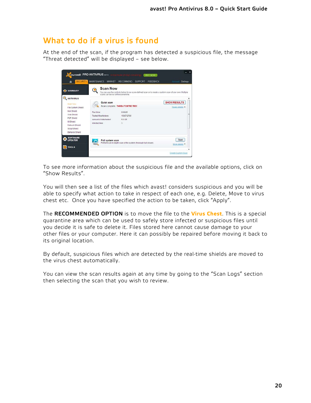#### <span id="page-19-0"></span>**What to do if a virus is found**

At the end of the scan, if the program has detected a suspicious file, the message "Threat detected" will be displayed – see below.



To see more information about the suspicious file and the available options, click on "Show Results".

You will then see a list of the files which avast! considers suspicious and you will be able to specify what action to take in respect of each one, e.g. Delete, Move to virus chest etc. Once you have specified the action to be taken, click "Apply".

The **RECOMMENDED OPTION** is to move the file to the **Virus Chest**. This is a special quarantine area which can be used to safely store infected or suspicious files until you decide it is safe to delete it. Files stored here cannot cause damage to your other files or your computer. Here it can possibly be repaired before moving it back to its original location.

By default, suspicious files which are detected by the real-time shields are moved to the virus chest automatically.

You can view the scan results again at any time by going to the "Scan Logs" section then selecting the scan that you wish to review.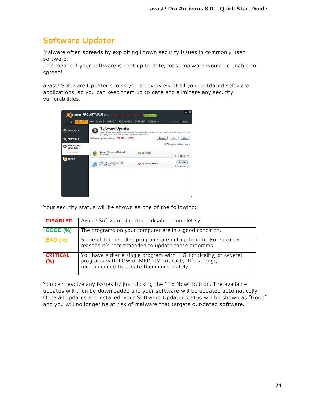# <span id="page-20-0"></span>**Software Updater**

Malware often spreads by exploiting known security issues in commonly used software.

This means if your software is kept up to date, most malware would be unable to spread!

avast! Software Updater shows you an overview of all your outdated software applications, so you can keep them up to date and eliminate any security vulnerabilities.



Your security status will be shown as one of the following:

| <b>DISABLED</b>        | Avast! Software Updater is disabled completely.                                                                                                                         |
|------------------------|-------------------------------------------------------------------------------------------------------------------------------------------------------------------------|
| <b>GOOD (%)</b>        | The programs on your computer are in a good condition.                                                                                                                  |
| <b>BAD</b> (%)         | Some of the installed programs are not up-to date. For security<br>reasons it's recommended to update these programs.                                                   |
| <b>CRITICAL</b><br>(%) | You have either a single program with HIGH criticality, or several<br>programs with LOW or MEDIUM criticality. It's strongly<br>recommended to update them immediately. |

You can resolve any issues by just clicking the "Fix Now" button. The available updates will then be downloaded and your software will be updated automatically. Once all updates are installed, your Software Updater status will be shown as "Good" and you will no longer be at risk of malware that targets out-dated software.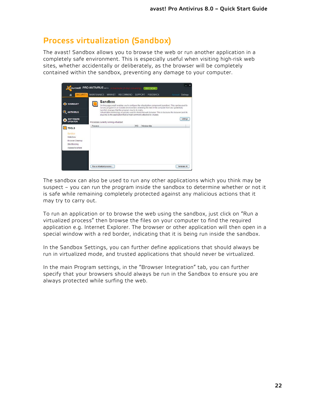## <span id="page-21-0"></span>**Process virtualization (Sandbox)**

The avast! Sandbox allows you to browse the web or run another application in a completely safe environment. This is especially useful when visiting high-risk web sites, whether accidentally or deliberately, as the browser will be completely contained within the sandbox, preventing any damage to your computer.

| SUMMARY                           |         | <b>Sandbox</b>                           | On this page avast enables you to configure the virtualization component (sandbox). This can be used to                                                                                                                                                                                                                                             |      |              |  |          |
|-----------------------------------|---------|------------------------------------------|-----------------------------------------------------------------------------------------------------------------------------------------------------------------------------------------------------------------------------------------------------------------------------------------------------------------------------------------------------|------|--------------|--|----------|
| <b>ANTIVIRUS</b><br>⊙             |         |                                          | run any program in an isolated environment, shielding the rest of the computer from any (potentially<br>harmful) changes that the program may by to make.<br>Virtualization technology is typically used to shield the web browser. This is because the browser (and its<br>plug-ins) is the application that is most commonly attacked by viruses. |      |              |  |          |
| <b>SOFTWARE</b><br><b>UPDATER</b> |         | Processes currently running virtualized: |                                                                                                                                                                                                                                                                                                                                                     |      |              |  | Settings |
| <b>TOOLS</b>                      | Process |                                          |                                                                                                                                                                                                                                                                                                                                                     | PID. | Window title |  |          |
| Sandbox                           |         |                                          |                                                                                                                                                                                                                                                                                                                                                     |      |              |  |          |
| SafeZone                          |         |                                          |                                                                                                                                                                                                                                                                                                                                                     |      |              |  |          |
| Browser Cleanup<br>Site Blocking  |         |                                          |                                                                                                                                                                                                                                                                                                                                                     |      |              |  |          |
| AccessAnywhere                    |         |                                          |                                                                                                                                                                                                                                                                                                                                                     |      |              |  |          |
|                                   |         |                                          |                                                                                                                                                                                                                                                                                                                                                     |      |              |  |          |

The sandbox can also be used to run any other applications which you think may be suspect – you can run the program inside the sandbox to determine whether or not it is safe while remaining completely protected against any malicious actions that it may try to carry out.

To run an application or to browse the web using the sandbox, just click on "Run a virtualized process" then browse the files on your computer to find the required application e.g. Internet Explorer. The browser or other application will then open in a special window with a red border, indicating that it is being run inside the sandbox.

In the Sandbox Settings, you can further define applications that should always be run in virtualized mode, and trusted applications that should never be virtualized.

In the main Program settings, in the "Browser Integration" tab, you can further specify that your browsers should always be run in the Sandbox to ensure you are always protected while surfing the web.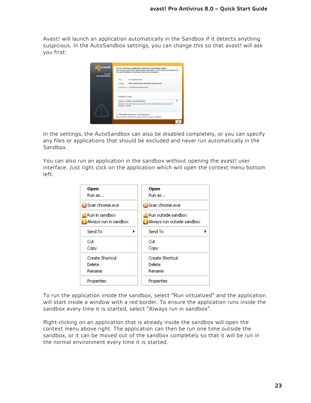Avast! will launch an application automatically in the Sandbox if it detects anything suspicious. In the AutoSandbox settings, you can change this so that avast! will ask you first:

| <b>o</b> avast!<br>Security<br>Recommendation | You are opening an application that may be potentially unsafe.<br>We strongly recommend opening this application in the virtual environment of<br>the avasti sandbox to avoid any risk to your computer. |
|-----------------------------------------------|----------------------------------------------------------------------------------------------------------------------------------------------------------------------------------------------------------|
|                                               | File:<br>Disuspicious.exe<br><b>Origin:</b><br>http://public.avast.com/test/suspicious.exe<br>Opened by: C:\Windows\explorer.exe                                                                         |
|                                               | <b>ACTIONS TO TAKE</b><br>Open in sandbox (recommended)<br>Attention: any data that you save while in the sandbox will be lost when the                                                                  |
|                                               | sandbox is closed.<br>Remember my answer for this program<br>m<br>lyou can later change this option in the program settings)                                                                             |

In the settings, the AutoSandbox can also be disabled completely, or you can specify any files or applications that should be excluded and never run automatically in the Sandbox.

You can also run an application in the sandbox without opening the avast! user interface. Just right click on the application which will open the context menu bottom left.

| Open                  | Open                       |
|-----------------------|----------------------------|
| Run as                | Run as                     |
| Scan chrome.exe       | Scan chrome.exe            |
| Run in sandbox        | Run outside sandbox        |
| Always run in sandbox | Always run outside sandbox |
| Send To<br>٠          | Send To                    |
| Cut                   | Cut                        |
| Copy                  | Copy                       |
| Create Shortcut       | Create Shortcut            |
| Delete<br>Delete      |                            |
| Rename                | Rename                     |
| Properties            | Properties                 |

To run the application inside the sandbox, select "Run virtualized" and the application will start inside a window with a red border. To ensure the application runs inside the sandbox every time it is started, select "Always run in sandbox".

Right-clicking on an application that is already inside the sandbox will open the context menu above right. The application can then be run one time outside the sandbox, or it can be moved out of the sandbox completely so that it will be run in the normal environment every time it is started.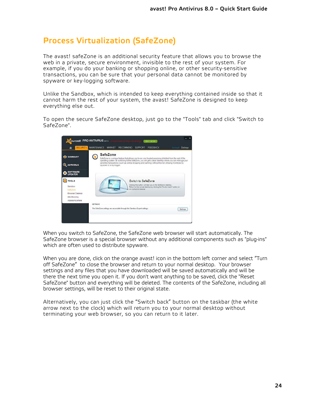# <span id="page-23-0"></span>**Process Virtualization (SafeZone)**

The avast! safeZone is an additional security feature that allows you to browse the web in a private, secure environment, invisible to the rest of your system. For example, if you do your banking or shopping online, or other security-sensitive transactions, you can be sure that your personal data cannot be monitored by spyware or key-logging software.

Unlike the Sandbox, which is intended to keep everything contained inside so that it cannot harm the rest of your system, the avast! SafeZone is designed to keep everything else out.

To open the secure SafeZone desktop, just go to the "Tools" tab and click "Switch to SafeZone".



When you switch to SafeZone, the SafeZone web browser will start automatically. The SafeZone browser is a special browser without any additional components such as "plug-ins" which are often used to distribute spyware.

When you are done, click on the orange avast! icon in the bottom left corner and select "Turn off SafeZone" to close the browser and return to your normal desktop. Your browser settings and any files that you have downloaded will be saved automatically and will be there the next time you open it. If you don't want anything to be saved, click the "Reset SafeZone" button and everything will be deleted. The contents of the SafeZone, including all browser settings, will be reset to their original state.

Alternatively, you can just click the "Switch back" button on the taskbar (the white arrow next to the clock) which will return you to your normal desktop without terminating your web browser, so you can return to it later.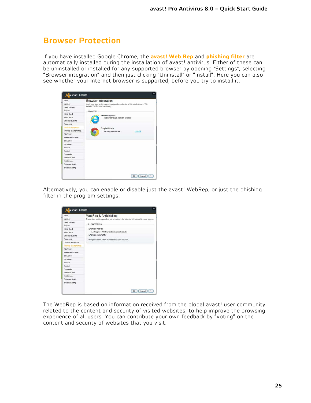#### <span id="page-24-0"></span>**Browser Protection**

If you have installed Google Chrome, the **avast! Web Rep** and **phishing filter** are automatically installed during the installation of avast! antivirus. Either of these can be uninstalled or installed for any supported browser by opening "Settings", selecting "Browser integration" and then just clicking "Uninstall" or "Install". Here you can also see whether your Internet browser is supported, before you try to install it.

| Undates<br>Cloud Services<br>Popupis<br>Virus Chest<br>Virus Alerts | includes WebRep and sandboxing. | Browser Integration<br>Use the controls on this page to configure the protection of the web browsers. This |           |
|---------------------------------------------------------------------|---------------------------------|------------------------------------------------------------------------------------------------------------|-----------|
|                                                                     |                                 |                                                                                                            |           |
|                                                                     |                                 |                                                                                                            |           |
|                                                                     | <b>BROWSERS</b>                 |                                                                                                            |           |
|                                                                     |                                 | Internet Explorer                                                                                          |           |
|                                                                     |                                 | No browser plugh currently available.                                                                      |           |
| Global Exclusions                                                   |                                 |                                                                                                            |           |
| Password                                                            |                                 |                                                                                                            |           |
| <b>Browser Integration</b>                                          |                                 | Google Chrome                                                                                              |           |
| WebRep & Antiphishing                                               |                                 | Security plugin installed                                                                                  | Uninstall |
| StaCorrect                                                          |                                 |                                                                                                            |           |
| Silent/Gaming Mode                                                  |                                 |                                                                                                            |           |
| Status Bar                                                          |                                 |                                                                                                            |           |
| Language                                                            |                                 |                                                                                                            |           |
| Sounds                                                              |                                 |                                                                                                            |           |
| Account                                                             |                                 |                                                                                                            |           |
| Community                                                           |                                 |                                                                                                            |           |
| Facebook App                                                        |                                 |                                                                                                            |           |
| Maintenance                                                         |                                 |                                                                                                            |           |
| Software Health                                                     |                                 |                                                                                                            |           |
| Troubleshooting                                                     |                                 |                                                                                                            |           |

Alternatively, you can enable or disable just the avast! WebRep, or just the phishing filter in the program settings:

| Basic                 | WebRep & Antiphishing                                                                        |
|-----------------------|----------------------------------------------------------------------------------------------|
| Undates               | The controls on this page allow you to configure the behavior of the avasti browser plugins. |
| Cloud Services        |                                                                                              |
| Popupis               | PLUGN SETTINGS                                                                               |
| Virus Chest           | To Enable WebRep                                                                             |
| Virus Alerts          | Suppress WebRep tooltjos in search results                                                   |
| Global Exclusions     | <b>M</b> Enable phishing filter                                                              |
| Password              | Changes will take effect after restarting your browser.                                      |
| Browser Integration   |                                                                                              |
| WebRep & Antiphisting |                                                                                              |
| SteCorrect            |                                                                                              |
| Silent/Gaming Mode    |                                                                                              |
| Status Bar            |                                                                                              |
| Language              |                                                                                              |
| Sounds                |                                                                                              |
| Account               |                                                                                              |
| Community             |                                                                                              |
| Facebook App          |                                                                                              |
| Maintenance           |                                                                                              |
| Software Health       |                                                                                              |
| Troubleshooting       |                                                                                              |

The WebRep is based on information received from the global avast! user community related to the content and security of visited websites, to help improve the browsing experience of all users. You can contribute your own feedback by "voting" on the content and security of websites that you visit.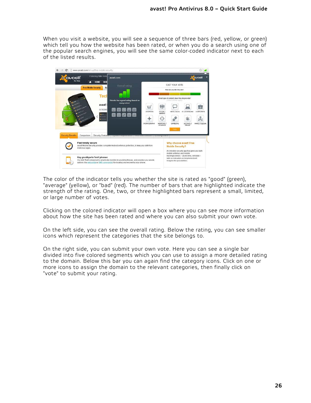When you visit a website, you will see a sequence of three bars (red, yellow, or green) which tell you how the website has been rated, or when you do a search using one of the popular search engines, you will see the same color-coded indicator next to each of the listed results.



The color of the indicator tells you whether the site is rated as "good" (green), "average" (yellow), or "bad" (red). The number of bars that are highlighted indicate the strength of the rating. One, two, or three highlighted bars represent a small, limited, or large number of votes.

Clicking on the colored indicator will open a box where you can see more information about how the site has been rated and where you can also submit your own vote.

On the left side, you can see the overall rating. Below the rating, you can see smaller icons which represent the categories that the site belongs to.

On the right side, you can submit your own vote. Here you can see a single bar divided into five colored segments which you can use to assign a more detailed rating to the domain. Below this bar you can again find the category icons. Click on one or more icons to assign the domain to the relevant categories, then finally click on "vote" to submit your rating.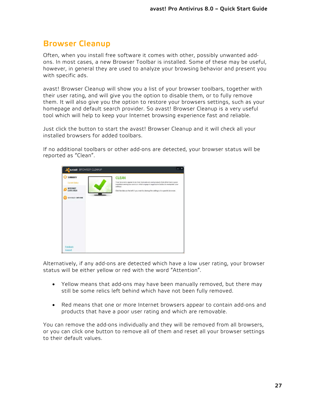## <span id="page-26-0"></span>**Browser Cleanup**

Often, when you install free software it comes with other, possibly unwanted addons. In most cases, a new Browser Toolbar is installed. Some of these may be useful, however, in general they are used to analyze your browsing behavior and present you with specific ads.

avast! Browser Cleanup will show you a list of your browser toolbars, together with their user rating, and will give you the option to disable them, or to fully remove them. It will also give you the option to restore your browsers settings, such as your homepage and default search provider. So avast! Browser Cleanup is a very useful tool which will help to keep your Internet browsing experience fast and reliable.

Just click the button to start the avast! Browser Cleanup and it will check all your installed browsers for added toolbars.

If no additional toolbars or other add-ons are detected, your browser status will be reported as "Clean".



Alternatively, if any add-ons are detected which have a low user rating, your browser status will be either yellow or red with the word "Attention".

- Yellow means that add-ons may have been manually removed, but there may still be some relics left behind which have not been fully removed.
- Red means that one or more Internet browsers appear to contain add-ons and products that have a poor user rating and which are removable.

You can remove the add-ons individually and they will be removed from all browsers, or you can click one button to remove all of them and reset all your browser settings to their default values.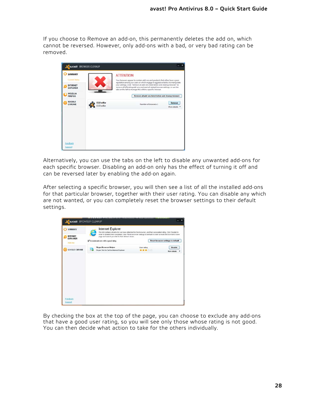If you choose to Remove an add-on, this permanently deletes the add on, which cannot be reversed. However, only add-ons with a bad, or very bad rating can be removed.



Alternatively, you can use the tabs on the left to disable any unwanted add-ons for each specific browser. Disabling an add-on only has the effect of turning it off and can be reversed later by enabling the add-on again.

After selecting a specific browser, you will then see a list of all the installed add-ons for that particular browser, together with their user rating. You can disable any which are not wanted, or you can completely reset the browser settings to their default settings.

| <b>SUMMARY</b>                                |   | Internet Explorer<br>This list contains all add-ons we have detected for this browser, and their associated rating. Click 'Disable' in                                                                         |                    |                                          |
|-----------------------------------------------|---|----------------------------------------------------------------------------------------------------------------------------------------------------------------------------------------------------------------|--------------------|------------------------------------------|
| <b>INTERNET</b><br><b>EXPLORER</b><br>Add-one |   | order to disable them completely. Click Reset browser settings to default' in order to reset the browser's home<br>page and search provider to their default values.<br>The Exclude add-ons with a good rating |                    | <b>Reset browser settings to default</b> |
| <b>GOOGLE CHROME</b>                          | 歸 | <b>Skype Browser Helper</b><br>Skype Click to Call for Internet Explorer                                                                                                                                       | User rating<br>*** | Disable<br>More details                  |
|                                               |   |                                                                                                                                                                                                                |                    |                                          |
|                                               |   |                                                                                                                                                                                                                |                    |                                          |
|                                               |   |                                                                                                                                                                                                                |                    |                                          |
|                                               |   |                                                                                                                                                                                                                |                    |                                          |
|                                               |   |                                                                                                                                                                                                                |                    |                                          |

By checking the box at the top of the page, you can choose to exclude any add-ons that have a good user rating, so you will see only those whose rating is not good. You can then decide what action to take for the others individually.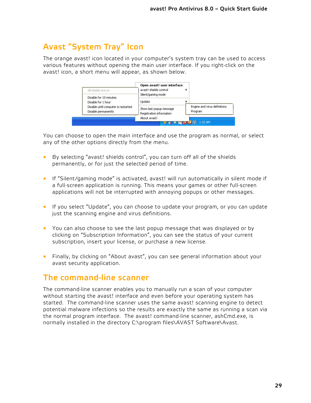# <span id="page-28-0"></span>**Avast "System Tray" Icon**

The orange avast! icon located in your computer's system tray can be used to access various features without opening the main user interface. If you right-click on the avast! icon, a short menu will appear, as shown below.



You can choose to open the main interface and use the program as normal, or select any of the other options directly from the menu.

- By selecting "avast! shields control", you can turn off all of the shields permanently, or for just the selected period of time.
- If "Silent/gaming mode" is activated, avast! will run automatically in silent mode if a full-screen application is running. This means your games or other full-screen applications will not be interrupted with annoying popups or other messages.
- If you select "Update", you can choose to update your program, or you can update just the scanning engine and virus definitions.
- You can also choose to see the last popup message that was displayed or by clicking on "Subscription Information", you can see the status of your current subscription, insert your license, or purchase a new license.
- Finally, by clicking on "About avast", you can see general information about your avast security application.

### <span id="page-28-1"></span>**The command-line scanner**

The command-line scanner enables you to manually run a scan of your computer without starting the avast! interface and even before your operating system has started. The command-line scanner uses the same avast! scanning engine to detect potential malware infections so the results are exactly the same as running a scan via the normal program interface. The avast! command-line scanner, ashCmd.exe, is normally installed in the directory C:\program files\AVAST Software\Avast.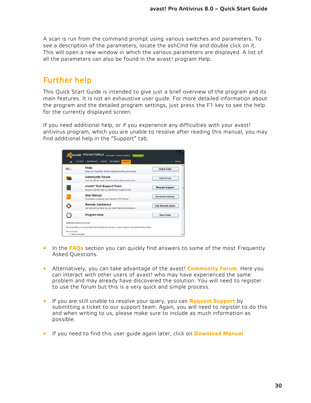A scan is run from the command prompt using various switches and parameters. To see a description of the parameters, locate the ashCmd file and double click on it. This will open a new window in which the various parameters are displayed. A list of all the parameters can also be found in the avast! program Help.

# <span id="page-29-0"></span>**Further help**

This Quick Start Guide is intended to give just a brief overview of the program and its main features. It is not an exhaustive user guide. For more detailed information about the program and the detailed program settings, just press the F1 key to see the help for the currently displayed screen.

If you need additional help, or if you experience any difficulties with your avast! antivirus program, which you are unable to resolve after reading this manual, you may find additional help in the "Support" tab.

|      | FAOS                                                                                    |                          |
|------|-----------------------------------------------------------------------------------------|--------------------------|
| FAQ. | Read our Frequently Asked Questions to find your answer                                 | <b>Check FAOs</b>        |
|      | <b>Community Forum</b><br>Visit the official avast! Forum to talk to other avast! users | <b>Visit Forum</b>       |
|      | <b>AVAST Tech Support Team</b>                                                          |                          |
| Ħ    | Request specific help by submitting a support ticket                                    | <b>Request Support</b>   |
|      | <b>User Manual</b>                                                                      | Download Manual          |
|      | Download a complete user manual in PDF format                                           |                          |
| ٥    | <b>Remote Assistance</b><br>Get help from a friend via your avast! Remote Assistance    | <b>Use Remote Assist</b> |
|      | <b>Program Help</b>                                                                     | Open Help                |
|      | GENERATE SLIPPORT PACKAGE                                                               |                          |

- In the **[FAQs](http://support.avast.com/index.php?_m=knowledgebase&_a=view)** section you can quickly find answers to some of the most Frequently Asked Questions.
- Alternatively, you can take advantage of the avast! **Community Forum**. Here you can interact with other users of avast! who may have experienced the same problem and may already have discovered the solution. You will need to register to use the forum but this is a very quick and simple process.
- If you are still unable to resolve your query, you can **Request Support** by submitting a ticket to our support team. Again, you will need to register to do this and when writing to us, please make sure to include as much information as possible.
- If you need to find this user guide again later, click on **Download Manual**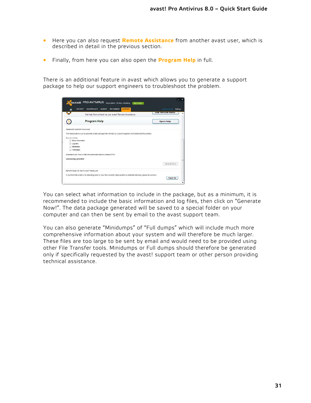- Here you can also request **Remote Assistance** from another avast user, which is described in detail in the previous section.
- Finally, from here you can also open the **Program Help** in full.

There is an additional feature in avast which allows you to generate a support package to help our support engineers to troubleshoot the problem.

| A                                           | <b>RECOMMEND</b><br><b>SLIPPORT</b><br>SECURITY.<br><b>MANTENANCE</b><br><b>MARKET</b>                               | wealth Account<br>Settings |
|---------------------------------------------|----------------------------------------------------------------------------------------------------------------------|----------------------------|
| - 1                                         | Get help from a friend via your avast! Remote Assistance                                                             | <b>USE INTIIBUE HOSISI</b> |
|                                             | <b>Program Help</b>                                                                                                  | Open Help                  |
|                                             | GENERATE SUPPORT PACKAGE                                                                                             |                            |
|                                             | This teature allows you to generate a data package that will help our support engineers to troubleshoot the problem. |                            |
|                                             |                                                                                                                      |                            |
|                                             |                                                                                                                      |                            |
| <b>Basic information</b>                    |                                                                                                                      |                            |
| <b>Log files</b>                            |                                                                                                                      |                            |
| Minidumps<br>Full duries                    |                                                                                                                      |                            |
|                                             | (Estimated size: Tens of MB; Recommended delivery method: FTP).                                                      |                            |
|                                             |                                                                                                                      |                            |
| tens to include:<br>Last package generated: |                                                                                                                      |                            |
|                                             |                                                                                                                      | Generate Now!              |
|                                             | REPORT FILES TO THE AVASTI VIRUS LAB                                                                                 |                            |

You can select what information to include in the package, but as a minimum, it is recommended to include the basic information and log files, then click on "Generate Now!". The data package generated will be saved to a special folder on your computer and can then be sent by email to the avast support team.

You can also generate "Minidumps" of "Full dumps" which will include much more comprehensive information about your system and will therefore be much larger. These files are too large to be sent by email and would need to be provided using other File Transfer tools. Minidumps or Full dumps should therefore be generated only if specifically requested by the avast! support team or other person providing technical assistance.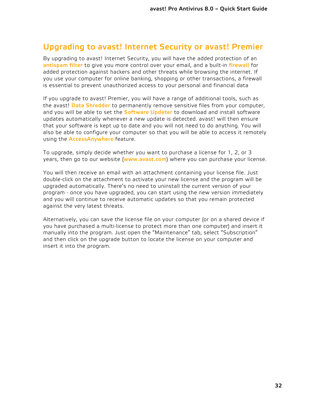## <span id="page-31-0"></span>**Upgrading to avast! Internet Security or avast! Premier**

By upgrading to avast! Internet Security, you will have the added protection of an **antispam filter** to give you more control over your email, and a built-in **firewall** for added protection against hackers and other threats while browsing the internet. If you use your computer for online banking, shopping or other transactions, a firewall is essential to prevent unauthorized access to your personal and financial data

If you upgrade to avast! Premier, you will have a range of additional tools, such as the avast! **Data Shredder** to permanently remove sensitive files from your computer, and you will be able to set the **Software Updater** to download and install software updates automatically whenever a new update is detected. avast! will then ensure that your software is kept up to date and you will not need to do anything. You will also be able to configure your computer so that you will be able to access it remotely using the **AccessAnywhere** feature.

To upgrade, simply decide whether you want to purchase a license for 1, 2, or 3 years, then go to our website (**[www.avast.com](http://www.avast.com/)**) where you can purchase your license.

You will then receive an email with an attachment containing your license file. Just double-click on the attachment to activate your new license and the program will be upgraded automatically. There's no need to uninstall the current version of your program - once you have upgraded, you can start using the new version immediately and you will continue to receive automatic updates so that you remain protected against the very latest threats.

Alternatively, you can save the license file on your computer (or on a shared device if you have purchased a multi-license to protect more than one computer) and insert it manually into the program. Just open the "Maintenance" tab, select "Subscription" and then click on the upgrade button to locate the license on your computer and insert it into the program.